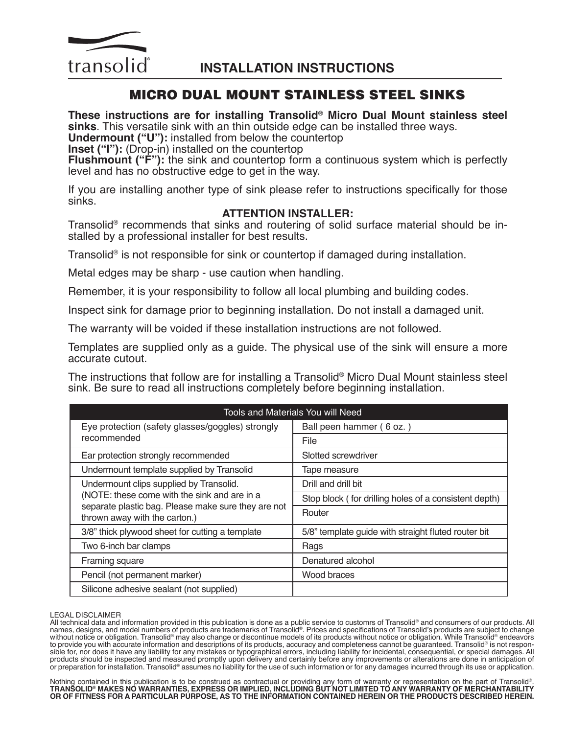

# MICRO DUAL MOUNT STAINLESS STEEL SINKS

**These instructions are for installing Transolid® Micro Dual Mount stainless steel sinks**. This versatile sink with an thin outside edge can be installed three ways.

**Undermount ("U"):** installed from below the countertop

**Inset ("I"):** (Drop-in) installed on the countertop

**Flushmount ("F"):** the sink and countertop form a continuous system which is perfectly level and has no obstructive edge to get in the way.

If you are installing another type of sink please refer to instructions specifically for those sinks.

## **ATTENTION INSTALLER:**

Transolid<sup>®</sup> recommends that sinks and routering of solid surface material should be in-<br>stalled by a professional installer for best results.

Transolid® is not responsible for sink or countertop if damaged during installation.

Metal edges may be sharp - use caution when handling.

Remember, it is your responsibility to follow all local plumbing and building codes.

Inspect sink for damage prior to beginning installation. Do not install a damaged unit.

The warranty will be voided if these installation instructions are not followed.

Templates are supplied only as a guide. The physical use of the sink will ensure a more accurate cutout.

The instructions that follow are for installing a Transolid® Micro Dual Mount stainless steel sink. Be sure to read all instructions completely before beginning installation.

| <b>Tools and Materials You will Need</b>                                                                                                                                        |                                                       |
|---------------------------------------------------------------------------------------------------------------------------------------------------------------------------------|-------------------------------------------------------|
| Eye protection (safety glasses/goggles) strongly<br>recommended                                                                                                                 | Ball peen hammer (6 oz.)                              |
|                                                                                                                                                                                 | File                                                  |
| Ear protection strongly recommended                                                                                                                                             | Slotted screwdriver                                   |
| Undermount template supplied by Transolid                                                                                                                                       | Tape measure                                          |
| Undermount clips supplied by Transolid.<br>(NOTE: these come with the sink and are in a<br>separate plastic bag. Please make sure they are not<br>thrown away with the carton.) | Drill and drill bit                                   |
|                                                                                                                                                                                 | Stop block (for drilling holes of a consistent depth) |
|                                                                                                                                                                                 | Router                                                |
| 3/8" thick plywood sheet for cutting a template                                                                                                                                 | 5/8" template guide with straight fluted router bit   |
| Two 6-inch bar clamps                                                                                                                                                           | Rags                                                  |
| Framing square                                                                                                                                                                  | Denatured alcohol                                     |
| Pencil (not permanent marker)                                                                                                                                                   | Wood braces                                           |
| Silicone adhesive sealant (not supplied)                                                                                                                                        |                                                       |

LEGAL DISCLAIMER<br>All technical data and information provided in this publication is done as a public service to customrs of Transolid® and consumers of our products. All All technical data and information provided in this publication is done as a public service to customrs of Transolid® and consumers of our products. All names, designs, and model numbers of products are trademarks of Transolid®. Prices and specifications of Transolid's products are subject to change without notice or obligation. Transolid® may also change or discontinue models of its products without notice or obligation. While Transolid® endeavors to provide you with accurate information and descriptions of its products, accuracy and completeness cannot be guaranteed. Transolid® is not responsible for, nor does it have any liability for any mistakes or typographical errors, including liability for incidental, consequential, or special damages. All products should be inspected and measured promptly upon delivery and certainly before any improvements or alterations are done in anticipation of<br>or preparation for installation. Transolid® assumes no liability for the use

Nothing contained in this publication is to be construed as contractual or providing any form of warranty or representation on the part of Transolid®.<br>TRANSOLID® MAKES NO WARRANTIES, EXPRESS OR IMPLIED, INCLUDING BUT NOT L **OR OF FITNESS FOR A PARTICULAR PURPOSE, AS TO THE INFORMATION CONTAINED HEREIN OR THE PRODUCTS DESCRIBED HEREIN.**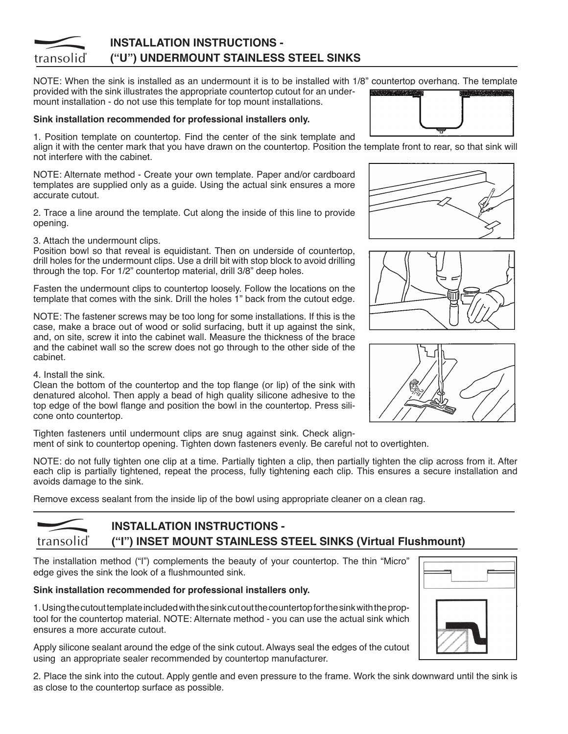#### **INSTALLATION INSTRUCTIONS**  transolid **("U") UNDERMOUNT STAINLESS STEEL SINKS**

NOTE: When the sink is installed as an undermount it is to be installed with 1/8" countertop overhang. The template provided with the sink illustrates the appropriate countertop cutout for an undermount installation - do not use this template for top mount installations.

#### **Sink installation recommended for professional installers only.**

1. Position template on countertop. Find the center of the sink template and

align it with the center mark that you have drawn on the countertop. Position the template front to rear, so that sink will not interfere with the cabinet.

NOTE: Alternate method - Create your own template. Paper and/or cardboard templates are supplied only as a guide. Using the actual sink ensures a more accurate cutout.

2. Trace a line around the template. Cut along the inside of this line to provide opening.

3. Attach the undermount clips.

Position bowl so that reveal is equidistant. Then on underside of countertop, drill holes for the undermount clips. Use a drill bit with stop block to avoid drilling through the top. For 1/2" countertop material, drill 3/8" deep holes.

Fasten the undermount clips to countertop loosely. Follow the locations on the template that comes with the sink. Drill the holes 1" back from the cutout edge.

NOTE: The fastener screws may be too long for some installations. If this is the case, make a brace out of wood or solid surfacing, butt it up against the sink, and, on site, screw it into the cabinet wall. Measure the thickness of the brace and the cabinet wall so the screw does not go through to the other side of the cabinet.

4. Install the sink.

Clean the bottom of the countertop and the top flange (or lip) of the sink with denatured alcohol. Then apply a bead of high quality silicone adhesive to the top edge of the bowl flange and position the bowl in the countertop. Press silicone onto countertop.

Tighten fasteners until undermount clips are snug against sink. Check alignment of sink to countertop opening. Tighten down fasteners evenly. Be careful not to overtighten.

NOTE: do not fully tighten one clip at a time. Partially tighten a clip, then partially tighten the clip across from it. After each clip is partially tightened, repeat the process, fully tightening each clip. This ensures a secure installation and avoids damage to the sink.

Remove excess sealant from the inside lip of the bowl using appropriate cleaner on a clean rag.

#### **INSTALLATION INSTRUCTIONS - ("I") INSET MOUNT STAINLESS STEEL SINKS (Virtual Flushmount)**transolid

The installation method ("I") complements the beauty of your countertop. The thin "Micro" edge gives the sink the look of a flushmounted sink.

#### **Sink installation recommended for professional installers only.**

1. Using the cutout template included with the sink cut out the countertop for the sink with the prop- e r tool for the countertop material. NOTE: Alternate method - you can use the actual sink which ensures a more accurate cutout.

Apply silicone sealant around the edge of the sink cutout. Always seal the edges of the cutout using an appropriate sealer recommended by countertop manufacturer.

2. Place the sink into the cutout. Apply gentle and even pressure to the frame. Work the sink downward until the sink is as close to the countertop surface as possible.









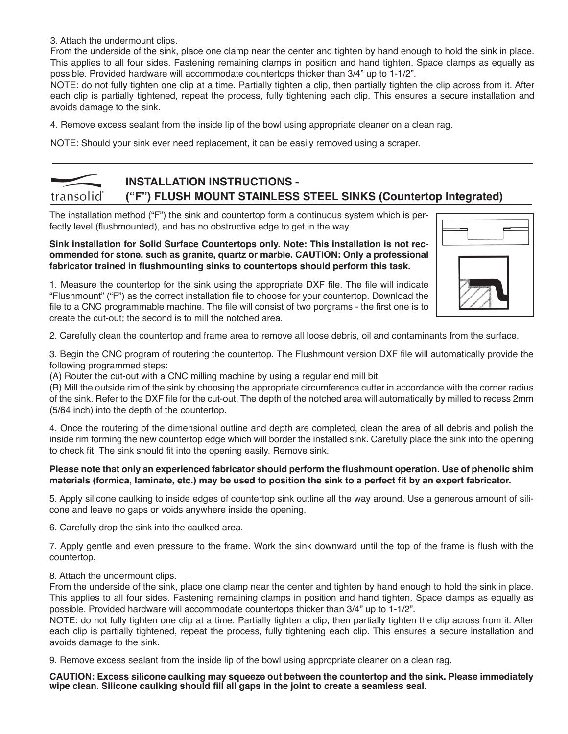3. Attach the undermount clips.

From the underside of the sink, place one clamp near the center and tighten by hand enough to hold the sink in place. This applies to all four sides. Fastening remaining clamps in position and hand tighten. Space clamps as equally as possible. Provided hardware will accommodate countertops thicker than 3/4" up to 1-1/2".

NOTE: do not fully tighten one clip at a time. Partially tighten a clip, then partially tighten the clip across from it. After each clip is partially tightened, repeat the process, fully tightening each clip. This ensures a secure installation and avoids damage to the sink.

4. Remove excess sealant from the inside lip of the bowl using appropriate cleaner on a clean rag.

NOTE: Should your sink ever need replacement, it can be easily removed using a scraper.

#### **INSTALLATION INSTRUCTIONS**  transolid **("F") FLUSH MOUNT STAINLESS STEEL SINKS (Countertop Integrated)**

The installation method ("F") the sink and countertop form a continuous system which is perfectly level (flushmounted), and has no obstructive edge to get in the way.

#### **Sink installation for Solid Surface Countertops only. Note: This installation is not recommended for stone, such as granite, quartz or marble. CAUTION: Only a professional fabricator trained in flushmounting sinks to countertops should perform this task.**

1. Measure the countertop for the sink using the appropriate DXF file. The file will indicate "Flushmount" ("F") as the correct installation file to choose for your countertop. Download the file to a CNC programmable machine. The file will consist of two porgrams - the first one is to create the cut-out; the second is to mill the notched area.

2. Carefully clean the countertop and frame area to remove all loose debris, oil and contaminants from the surface.

3. Begin the CNC program of routering the countertop. The Flushmount version DXF file will automatically provide the following programmed steps:

(A) Router the cut-out with a CNC milling machine by using a regular end mill bit.

(B) Mill the outside rim of the sink by choosing the appropriate circumference cutter in accordance with the corner radius of the sink. Refer to the DXF file for the cut-out. The depth of the notched area will automatically by milled to recess 2mm (5/64 inch) into the depth of the countertop.

4. Once the routering of the dimensional outline and depth are completed, clean the area of all debris and polish the inside rim forming the new countertop edge which will border the installed sink. Carefully place the sink into the opening to check fit. The sink should fit into the opening easily. Remove sink.

#### **Please note that only an experienced fabricator should perform the flushmount operation. Use of phenolic shim materials (formica, laminate, etc.) may be used to position the sink to a perfect fit by an expert fabricator.**

5. Apply silicone caulking to inside edges of countertop sink outline all the way around. Use a generous amount of silicone and leave no gaps or voids anywhere inside the opening.

6. Carefully drop the sink into the caulked area.

7. Apply gentle and even pressure to the frame. Work the sink downward until the top of the frame is flush with the countertop.

8. Attach the undermount clips.

From the underside of the sink, place one clamp near the center and tighten by hand enough to hold the sink in place. This applies to all four sides. Fastening remaining clamps in position and hand tighten. Space clamps as equally as possible. Provided hardware will accommodate countertops thicker than 3/4" up to 1-1/2".

NOTE: do not fully tighten one clip at a time. Partially tighten a clip, then partially tighten the clip across from it. After each clip is partially tightened, repeat the process, fully tightening each clip. This ensures a secure installation and avoids damage to the sink.

9. Remove excess sealant from the inside lip of the bowl using appropriate cleaner on a clean rag.

**CAUTION: Excess silicone caulking may squeeze out between the countertop and the sink. Please immediately wipe clean. Silicone caulking should fill all gaps in the joint to create a seamless seal**.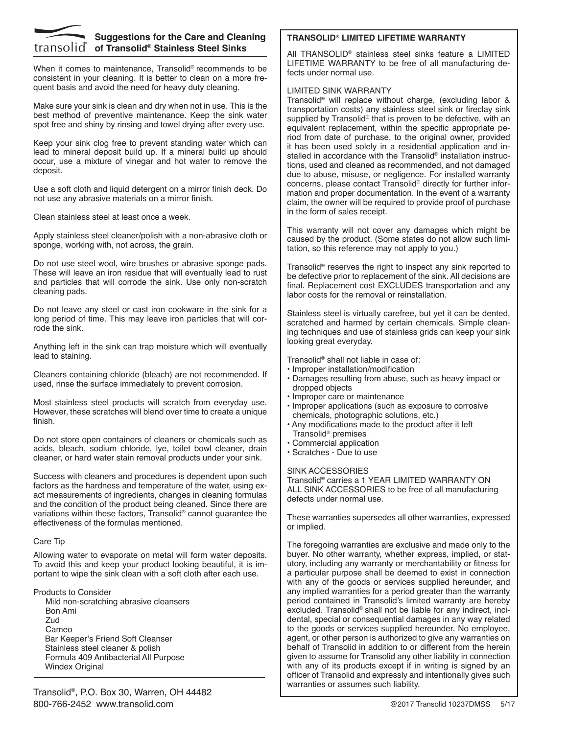

### **Suggestions for the Care and Cleaning of Transolid® Stainless Steel Sinks**

When it comes to maintenance. Transolid<sup>®</sup> recommends to be consistent in your cleaning. It is better to clean on a more frequent basis and avoid the need for heavy duty cleaning.

Make sure your sink is clean and dry when not in use. This is the best method of preventive maintenance. Keep the sink water spot free and shiny by rinsing and towel drying after every use.

Keep your sink clog free to prevent standing water which can lead to mineral deposit build up. If a mineral build up should occur, use a mixture of vinegar and hot water to remove the deposit.

Use a soft cloth and liquid detergent on a mirror finish deck. Do not use any abrasive materials on a mirror finish.

Clean stainless steel at least once a week.

Apply stainless steel cleaner/polish with a non-abrasive cloth or sponge, working with, not across, the grain.

Do not use steel wool, wire brushes or abrasive sponge pads. These will leave an iron residue that will eventually lead to rust and particles that will corrode the sink. Use only non-scratch cleaning pads.

Do not leave any steel or cast iron cookware in the sink for a long period of time. This may leave iron particles that will corrode the sink.

Anything left in the sink can trap moisture which will eventually lead to staining.

Cleaners containing chloride (bleach) are not recommended. If used, rinse the surface immediately to prevent corrosion.

Most stainless steel products will scratch from everyday use. However, these scratches will blend over time to create a unique finish.

Do not store open containers of cleaners or chemicals such as acids, bleach, sodium chloride, lye, toilet bowl cleaner, drain cleaner, or hard water stain removal products under your sink.

Success with cleaners and procedures is dependent upon such factors as the hardness and temperature of the water, using exact measurements of ingredients, changes in cleaning formulas and the condition of the product being cleaned. Since there are variations within these factors, Transolid® cannot guarantee the effectiveness of the formulas mentioned.

#### Care Tip

Allowing water to evaporate on metal will form water deposits. To avoid this and keep your product looking beautiful, it is important to wipe the sink clean with a soft cloth after each use.

#### Products to Consider

Mild non-scratching abrasive cleansers Bon Ami Zud Cameo Bar Keeper's Friend Soft Cleanser Stainless steel cleaner & polish Formula 409 Antibacterial All Purpose Windex Original

#### **TRANSOLID® LIMITED LIFETIME WARRANTY**

All TRANSOLID® stainless steel sinks feature a LIMITED LIFETIME WARRANTY to be free of all manufacturing defects under normal use.

#### LIMITED SINK WARRANTY

Transolid® will replace without charge, (excluding labor & transportation costs) any stainless steel sink or fireclay sink supplied by Transolid<sup>®</sup> that is proven to be defective, with an equivalent replacement, within the specific appropriate period from date of purchase, to the original owner, provided it has been used solely in a residential application and installed in accordance with the Transolid<sup>®</sup> installation instructions, used and cleaned as recommended, and not damaged due to abuse, misuse, or negligence. For installed warranty concerns, please contact Transolid® directly for further information and proper documentation. In the event of a warranty claim, the owner will be required to provide proof of purchase in the form of sales receipt.

This warranty will not cover any damages which might be caused by the product. (Some states do not allow such limitation, so this reference may not apply to you.)

Transolid® reserves the right to inspect any sink reported to be defective prior to replacement of the sink. All decisions are final. Replacement cost EXCLUDES transportation and any labor costs for the removal or reinstallation.

Stainless steel is virtually carefree, but yet it can be dented, scratched and harmed by certain chemicals. Simple cleaning techniques and use of stainless grids can keep your sink looking great everyday.

Transolid® shall not liable in case of:

- Improper installation/modification
- Damages resulting from abuse, such as heavy impact or dropped objects
- Improper care or maintenance
- Improper applications (such as exposure to corrosive chemicals, photographic solutions, etc.)
- Any modifications made to the product after it left Transolid® premises
- Commercial application
- Scratches Due to use

#### SINK ACCESSORIES

Transolid® carries a 1 YEAR LIMITED WARRANTY ON ALL SINK ACCESSORIES to be free of all manufacturing defects under normal use.

These warranties supersedes all other warranties, expressed or implied.

The foregoing warranties are exclusive and made only to the buyer. No other warranty, whether express, implied, or statutory, including any warranty or merchantability or fitness for a particular purpose shall be deemed to exist in connection with any of the goods or services supplied hereunder, and any implied warranties for a period greater than the warranty period contained in Transolid's limited warranty are hereby excluded. Transolid® shall not be liable for any indirect, incidental, special or consequential damages in any way related to the goods or services supplied hereunder. No employee, agent, or other person is authorized to give any warranties on behalf of Transolid in addition to or different from the herein given to assume for Transolid any other liability in connection with any of its products except if in writing is signed by an officer of Transolid and expressly and intentionally gives such warranties or assumes such liability.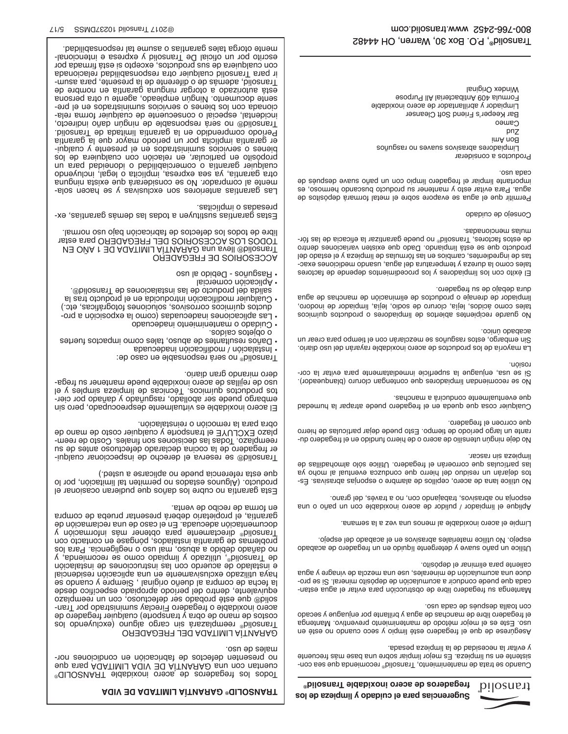

#### **Sugerencias para el cuidado y limpieza de los fregaderos de acero inoxidable Transolid® GARANTÍA LIMITADA DE VIDA ® TRANSOLID**

Cuando se trata de mantenimiento, Transolid<sup>®</sup> recomeimento appresento sistente en su limpieza. Es mejor limpiar sobre una base más frecuente y evitar la necesidad de la limpieza pesada.

Asegúrese de que el fregadero esté limpio y seco cuando no esté en uso. Este es el mejor método de mantenimiento preventivo. Mantenga el fregadero libre de manchas de agua y brillante por enjuague y secado con toalla después de cada uso.

- Mantenga su fregadero libre de obstrucción para evitar el agua estan - cada que puede conducir a acumulación de depósito mineral. Si se pro duce una acumulación de minerales, use una mezcla de vinagre y agua caliente para eliminar el depósito.

Utilice un paño suave y detergente líquido en un fregadero de acabado espejo. No utilice materiales abrasivos en el acabado del espejo.

Limpie el acero inoxidable al menos una vez a la semana.

Aplique el limpiador / pulidor de acero inoxidable con un paño o una esponja no abrasivos, trabajando con, no a través, del grano.

No utilice lana de acero, cepillos de alambre o esponjas abrasivas. Estos dejarán un residuo del hierro que conduzca eventual al moho ya las partículas que corroerán el fregadero. Utilice sólo almohadillas de limpieza sin rascar.

No deje ningún utensilio de acero o de hierro fundido na elepcido durante un largo período de tiempo. Esto puede dejar partículas de hierro que corroen el fregadero.

Cualquier cosa que queda en el fregadero puede atrapar la humedad que eventualmente conducirá a manchas.

No se recomiendan limpiadores que contengan cloruro (blanqueador). - Si se usa, enjuague la superficie inmediatamente para evitar la cor rosión.

La mayoría de los productos de acero inoxidable rayarán del uso diario. Sin embargo, estos rasguños se mezclarán con el tiempo para crear un acabado único.

No guarde recipientes abiertos de limpiadores o productos químicos tales como ácidos, lejía, cloruro de sodio, lejía, limpiador de inodoro, limpiador de drenaje o productos de eliminación de manchas de agua dura debajo de su fregadero.

El éxito con los limpiadores y los procedimientos depende de factores tales como la dureza y temperatura del agua, anno mediciones exactas de ingredientes, cambios en las fórmulas de limpieza y el estado del producto que se está limpiando. Dado que existen variaciones dentro de estos factores, Transolid® - no puede garantizar la eficacia de las fór mulas mencionadas.

Consejo de cuidado

Permitir que el agua se evapore sobre el metal formará depósitos de agua. Para evitar esto y mantener su producto buscando hermoso, es importante limpiar el fregadero limpio con un paño suave después de cada uso.

Productos a considerar Limpiadores abrasivos suaves no rasguños Bon Ami pnz Cameo Bar Keeper's Friend Soft Cleanser Limpiador y abrillantador de acero inoxidable Formula 409 Antibacterial All Purpose Windex Original

® Todos los fregaderos de acero inoxidable TRANSOLID eup staq AQATIMIJ AQIV EQ AÌTIAARAD snu noo nstneuo - no presenten defectos de fabricación en condiciones nor males de uso.

#### GARANTÍA LIMITADA DEL FREGADERO

Transolid<sup>®</sup> reemplazará sin cargo alguno (excluyendo los costos de mano de obra y transporte) cualquier fregadero de - acero inoxidable o fregadero Fireclay suministrado por Tran solid® que esté probado ser defectuoso, con un reemplazo equivalente, dentro del período apropiado específico desde la fecha de compra al dueño original , Siempre y cuando se haya utilizado exclusivamente en una aplicación residencial e instalado de acuerdo con las instrucciones de instalación de Transolid®, utilizado y limpiado como se recomienda, y no dañado debido a abuso, mal uso o negligencia. Para los problemas de garantía instalados, póngase en contacto con Transolid® directamente para obtener más información y documentación adecuada. En el caso de una reclamación de garantía, el propietario deberá presentar prueba de compra en forma de recibo de venta.

Esta garantía no cubre los daños que pudieran ocasionar el producto. (Algunos estados no permiten tal limitación, por lo que esta referencia puede no aplicarse a usted.)

- Transolid® se reserva el derecho de inspeccionar cualqui er fregadero de la cocina declarado defectuoso antes de su - reemplazo. Todas las decisiones son finales. Costo de reem plazo EXCLUYE el transporte y cualquier costo de mano de obra para la remoción o reinstalación.

El acero inoxidable es virtualmente despreocupado, pero sin - embargo puede ser abollado, rasguñado y dañado por cier tos productos químicos. Técnicas de limpieza simples y el nso de rejillas de acero inoxidable puede mantener su fregadero mirando gran diario.

Transolid® no será responsable en caso de:

• Instalación / modificación inadecuada • Daños resultantes de abuso, tales como impactos fuertes

- o objetos caídos.
- Cuidado o mantenimiento inadecuado
- Las aplicaciones inadecuadas (como la exposición a productos químicos corrosivos, soluciones fotográficas, etc.)
- Cualquier modificación introducida en el producto tras la salida del producto de las instalaciones de Transolid®.
- Aplicación comercial • Rasguños - Debido al uso

ACCESORIOS DE FREGADERO Transolid® lleva una GARANTÍA LIMITADA DE 1 AÑO EN TODOS LOS ACCESORIOS DEL FREGADERO para estar libre de todos los defectos de fabricación bajo uso normal.

- Estas garantías sustituyen a todas las demás garantías, ex presadas o implícitas.

- Las garantías anteriores son exclusivas y se hacen sola mente al comprador. No se considerará que exista ninguna otra garantía, ya sea expresa, implícita o legal, incluyendo cualquier garantía o comerciabilidad o idoneidad para un propósito en particular, en relación con cualquiera de los - bienes o servicios suministrados en el presente y cualqui er garantía implícita por un período mayor que la garantía Período comprendido en la garantía limitada de Transolid. Transolid® no será responsable de ningún daño indirecto, incidental, especial o consecuente de cualquier forma rela-- cionada con los bienes o servicios suministrados en el pre sente documento. Ningún empleado, agente u otra persona está autorizado a otorgar ninguna garantía en nombre de Transa and a de o diferente de la presente, para asumir para Transolid cualquier otra responsabilidad relacionada con cualquiera de sus productos, excepto si está firmada por escrito por un oficial De Transolid y expresa e intencionalmente otorga tales garantías o asume tal responsabilidad.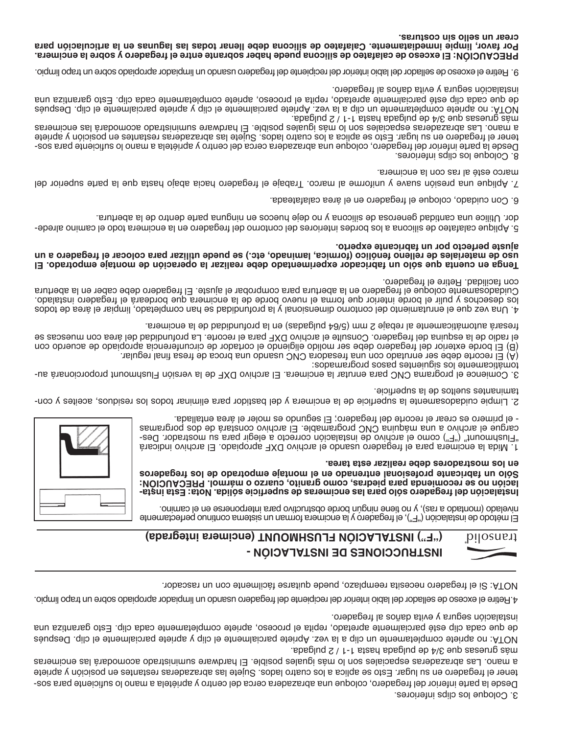3. Coloque los clips inferiores.

- Desde la parte inferior del fregadero, coloque una abrazadera cerca del centro y apriétela a mano lo suficiente para sos tener el fregadero en su lugar. Esto se aplica a los cuatro lados. Sujete las abrazaderas restantes en posición y apriete a mano. Las abrazaderas espaciales son lo más iguales posible. El hardware suministrado acomodará las encimeras más gruesas que 3/4 de pulgada hasta 1-1 / 2 pulgada.

NOTA: no apriete completamente un clip a la vez. Apriete parcialmente el clip y apriete parcialmente el clip. Después de que cada clip esté parcialmente apretado, repita el proceso, apriete completamente cada clip. Esto garantiza una instalación segura y evita daños al fregadero.

4.Retire el exceso de sellador del labio interior del recipiente del fregadero usando un limpiador apropiado sobre un trapo limpio.

NOTA: Si el fregadero necesita reemplazo, puede quitarse fácilmente con un rascador.

#### **("F") INSTALACIÓN FLUSHMOUNT (encimera integrada)**transolid **INSTRUCCIONES DE INSTALACIÓN -**



El método de instalación ("F"), el fregadero y la encimera forman un sistema continuo perfectamente nivelado (montado a ras), y no tiene ningún borde obstructivo para interponerse en el camino.

**- Instalación del fregadero sólo para las encimeras de superficie sólida. Nota: Esta insta lación no se recomienda para piedras, como granito, cuarzo o mármol. PRECAUCIÓN: Sólo un fabricante profesional entrenado en el montaje empotrado de los fregaderos en los mostradores debe realizar esta tarea.**

1. Mida la encimera para el fregadero usando el archivo DXF apropiado. El archivo indicará "Flushmount" ("F") como el archivo de instalación correcto a elegir para su mostrador. Descargue el archivo a una máquina CNC programable. El archivo constará de dos porgramas - el primero es crear el recorte del fregadero; El segundo es moler el área entallada.

- Limpie cuidadosamente la superficie de la encimera y del bastidor para eliminar todos los residuos, aceites y con 2. taminantes sueltos de la superficie.

- 3. Comience el programa CNC para enrutar la encimera. El archivo DXF de la versión Flushmount proporcionará au tomáticamente los siguientes pasos programados:

 $(\underline{A})$  El recorte debe ser enrutado con una fresadora CNC usando una broca de fresa final regular.

(B) El borde exterior del fregadero debe ser molido eligiendo el cortador de circunferencia apropiado de acuerdo con el radio de la esquina del fregadero. Consulte el archivo DXF para el recorte. La profundidad del área con muescas se

fresará automáticamente al rebaje 2 mm (5/64 pulgadas) en la profundidad de la encimera.

4. Una vez que el enrutamiento del contorno dimensional y la profundidad se han completado, limpiar el área de todos los desechos y pulir el borde interior que forma el nuevo borde de la encimera que bordeará el fregadero instalado. Cuidadosamente coloque el fregadero en la abertura para comprobar el ajuste. El fregadero debe caber en la abertura con facilidad. Retire el fregadero.

#### **Tenga en cuenta que sólo un fabricador experimentado debe realizar la operación de montaje empotrado. El uso de materiales de relleno fenólico (formica, laminado, etc.) se puede utilizar para colocar el fregadero a un ajuste perfecto por un fabricante experto.**

- Aplique calafateo de silicona a los bordes interiores del contorno del fregadero en la encimera todo el camino alrede 5. dor. Utilice una cantidad generosa de silicona y no deje huecos en ninguna parte dentro de la abertura.

6. Con cuidado, coloque el fregadero en el área calafateada.

7. Aplique una presión suave y uniforme al marco. Trabaje el fregadero hacia abajo hasta que la parte superior del

. marco esté al ras con la encimera

8. Coloque los clips inferiores.

- Desde la parte inferior del fregadero, coloque una abrazadera cerca del centro y apriétela a mano lo suficiente para sos tener el fregadero en su lugar. Esto se aplica a los cuatro lados. Sujete las abrazaderas restantes en posición y apriete a mano. Las abrazaderas espaciales son lo más iguales posible. El hardware suministrado acomodará las encimeras más gruesas que 3/4 de pulgada hasta 1-1 / 2 pulgada.

NOTA: no apriete completamente un clip a la vez. Apriete parcialmente el clip y apriete parcialmente el clip. Después de que cada clip esté parcialmente apretado, repita el proceso, apriete completamente cada clip. Esto garantiza una instalación segura y evita daños al fregadero.

9. Retire el exceso de sellador del labio interior del recipiente del fregadero usando un limpiador apropiado sobre un trapo limpio.

**PRECAUCIÓN: El exceso de calafateo de silicona puede haber sobrante entre el fregadero y sobre la encimera. Por favor, limpie inmediatamente. Calafateo de silicona debe llenar todas las lagunas en la articulación para crear un sello sin costuras.**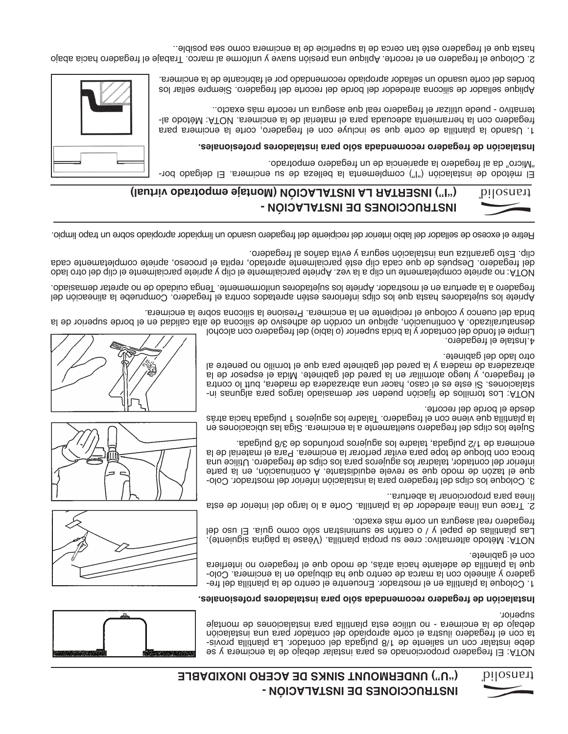# **INSTRUCCIONES DE INSTALACIÓN - ("U") UNDERMOUNT SINKS DE ACERO INOXIDABLE**





NOTA: El fregadero proporcionado es para instalar debajo de la encimera y se - debe instalar con un saliente de 1/8 pulgada del contador. La plantilla provis ta con el fregadero ilustra el corte apropiado del contador para una instalación debajo de la encimera - no utilice esta plantilla para instalaciones de montaje superior.

#### **Instalación de fregadero recomendada sólo para instaladores profesionales.**

- 1. Coloque la plantilla en el mostrador. Encuentre el centro de la plantilla del fre - gadero y alineelo con la marca de centro que ha dibujado en la encimera. Colo que la plantilla de adelante hacia atrás, de modo que el fregadero no interfiera con el gabinete.

NOTA: Método alternativo: cree su propia plantilla. (Véase la página siguiente). Las plantillas de papel y / o cartón se suministran sólo como guía. El uso del fregadero real asegura un corte más exacto.

2. Trace una línea alrededor de la plantilla. Corte a lo largo del interior de esta línea para proporcionar la abertura..

- 3. Coloque los clips del fregadero para la instalación inferior del mostrador. Colo que el tazón de modo que se revele equidistante. A continuación, en la parte inferior del contador, taladrar los agujeros para los clips de fregadero. Utilice una broca con bloque de tope para evitar perforar la encimera. Para el material de la encimera de 1/2 pulgada, taladre los agujeros profundos de 3/8 pulgada.

Sujete los clips del fregadero sueltamente a la encimera. Siga las ubicaciones en la plantilla que viene con el fregadero. Taladre los agujeros 1 pulgada hacia atrás desde el borde del recorte.

- NOTA: Los tornillos de fijación pueden ser demasiado largos para algunas in stalaciones. Si este es el caso, hacer una abrazadera e madera, butt lo contra el fregadero, y luego atornillar en la pared del gabinete. Mida el espesor de la abrazadera de madera y la pared del gabinete para que el tornillo no penetre al otro lado del gabinete.

4.Instale el fregadero.

Limpie el fondo del contador y la brida superior (o labio) del fregadero con alcohol desnaturalizado. A continuación, aplique un cordón de adhesivo de silicona de alta calidad en el borde superior de la brida del cuenco y coloque el recipiente en la encimera. Presione la silicona sobre la encimera.

Apriete los sujetadores hasta que los clips inferiores estén apretados contra el fregadero. Compruebe la alineación del fregadero a la apertura en el mostrador. Apriete los sujetadores uniformemente. Tenga cuidado de no apretar demasiado.

NOTA: no apriete completamente un clip a la vez. Apriete parcialmente el clip y apriete parcialmente el clip del otro lado del fregadero. Después de que cada clip esté parcialmente apretado, repita el proceso, apriete completamente cada clip. Esto garantiza una instalación segura y evita daños al fregadero.

Petire el exceso de sellador del labio interior del recipient leb fregadero usando un limpiador apropiador sobre un trapo limpio.



# **("I") INSERTAR LA INSTALACIÓN (Montaje empotrado virtual)**



#### **. Instalación de fregadero recomendada sólo para instaladores profesionales**

1. Usando la plantilla de corte que se incluye con el fregadero, corte la encimera para - fregadero con la herramienta adecuada para el material de la encimera. NOTA: Método al ternativo - puede utilizar el fregadero real que asegura un recorte más exacto..

Aplique sellador de silicona alrededor del borde del recorte del fregadero. Siempre sellar los bordes del corte usando un sellador apropiado recomendado por el fabricante de la encimera.

2. Coloque el fregadero en el recorte. Aplique una presión suave y uniforme al marco. Trabaje el fregadero hacia abajo hasta que el fregadero esté tan cerca de la superficie de la encimera como sea posible..